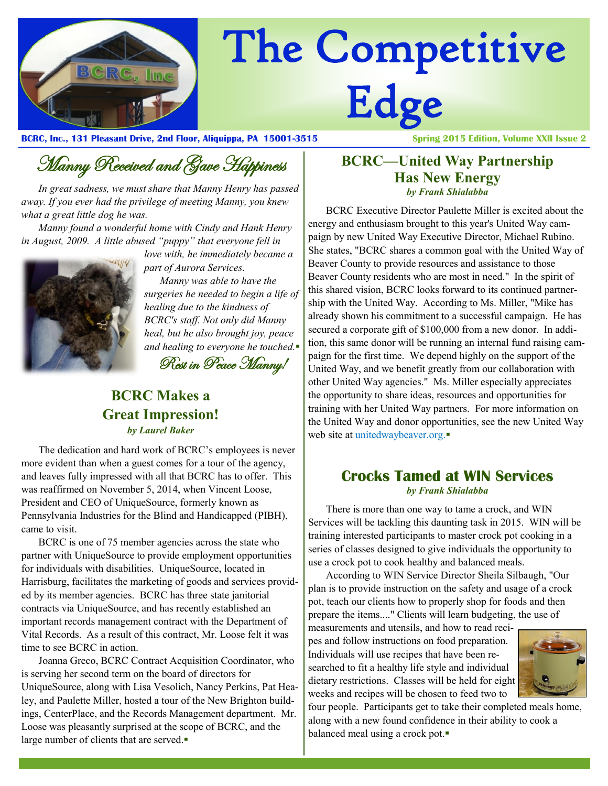

# The Competitive Edge

**BCRC, Inc., 131 Pleasant Drive, 2nd Floor, Aliquippa, PA 15001-3515 Spring 2015 Edition, Volume XXII Issue 2**

Manny Received and Gave Happiness

*In great sadness, we must share that Manny Henry has passed away. If you ever had the privilege of meeting Manny, you knew what a great little dog he was.*

*Manny found a wonderful home with Cindy and Hank Henry in August, 2009. A little abused "puppy" that everyone fell in* 



*love with, he immediately became a part of Aurora Services.*

 *Manny was able to have the surgeries he needed to begin a life of healing due to the kindness of BCRC's staff. Not only did Manny heal, but he also brought joy, peace and healing to everyone he touched.*

Rest in Peace Manny!

#### **BCRC Makes a Great Impression!** *by Laurel Baker*

The dedication and hard work of BCRC's employees is never more evident than when a guest comes for a tour of the agency, and leaves fully impressed with all that BCRC has to offer. This was reaffirmed on November 5, 2014, when Vincent Loose, President and CEO of UniqueSource, formerly known as Pennsylvania Industries for the Blind and Handicapped (PIBH), came to visit.

BCRC is one of 75 member agencies across the state who partner with UniqueSource to provide employment opportunities for individuals with disabilities. UniqueSource, located in Harrisburg, facilitates the marketing of goods and services provided by its member agencies. BCRC has three state janitorial contracts via UniqueSource, and has recently established an important records management contract with the Department of Vital Records. As a result of this contract, Mr. Loose felt it was time to see BCRC in action.

Joanna Greco, BCRC Contract Acquisition Coordinator, who is serving her second term on the board of directors for UniqueSource, along with Lisa Vesolich, Nancy Perkins, Pat Healey, and Paulette Miller, hosted a tour of the New Brighton buildings, CenterPlace, and the Records Management department. Mr. Loose was pleasantly surprised at the scope of BCRC, and the large number of clients that are served.

#### **BCRC—United Way Partnership Has New Energy** *by Frank Shialabba*

BCRC Executive Director Paulette Miller is excited about the energy and enthusiasm brought to this year's United Way campaign by new United Way Executive Director, Michael Rubino. She states, "BCRC shares a common goal with the United Way of Beaver County to provide resources and assistance to those Beaver County residents who are most in need." In the spirit of this shared vision, BCRC looks forward to its continued partnership with the United Way. According to Ms. Miller, "Mike has already shown his commitment to a successful campaign. He has secured a corporate gift of \$100,000 from a new donor. In addition, this same donor will be running an internal fund raising campaign for the first time. We depend highly on the support of the United Way, and we benefit greatly from our collaboration with other United Way agencies." Ms. Miller especially appreciates the opportunity to share ideas, resources and opportunities for training with her United Way partners. For more information on the United Way and donor opportunities, see the new United Way web site at unitedwaybeaver.org.

#### **Crocks Tamed at WIN Services** *by Frank Shialabba*

There is more than one way to tame a crock, and WIN Services will be tackling this daunting task in 2015. WIN will be training interested participants to master crock pot cooking in a series of classes designed to give individuals the opportunity to use a crock pot to cook healthy and balanced meals.

According to WIN Service Director Sheila Silbaugh, "Our plan is to provide instruction on the safety and usage of a crock pot, teach our clients how to properly shop for foods and then prepare the items...." Clients will learn budgeting, the use of

measurements and utensils, and how to read recipes and follow instructions on food preparation. Individuals will use recipes that have been researched to fit a healthy life style and individual dietary restrictions. Classes will be held for eight weeks and recipes will be chosen to feed two to



four people. Participants get to take their completed meals home, along with a new found confidence in their ability to cook a balanced meal using a crock pot.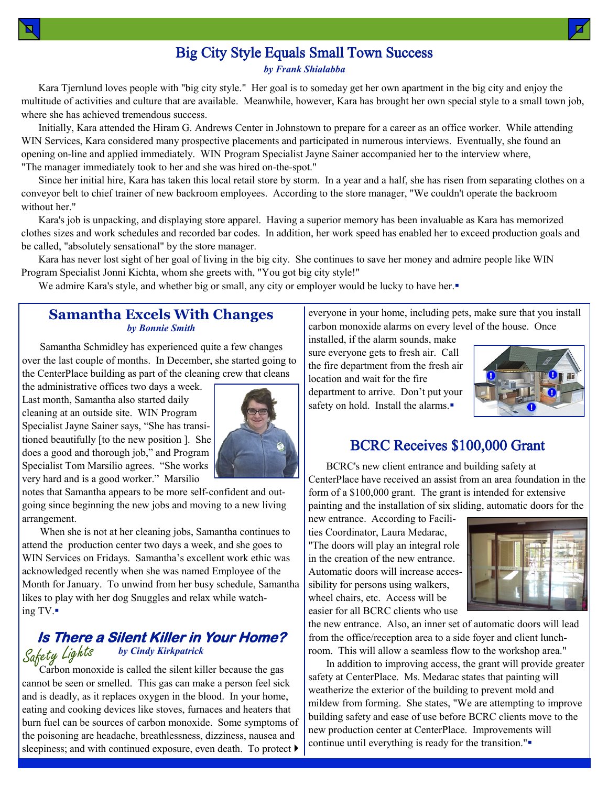### Big City Style Equals Small Town Success

*by Frank Shialabba*

Kara Tjernlund loves people with "big city style." Her goal is to someday get her own apartment in the big city and enjoy the multitude of activities and culture that are available. Meanwhile, however, Kara has brought her own special style to a small town job, where she has achieved tremendous success.

Initially, Kara attended the Hiram G. Andrews Center in Johnstown to prepare for a career as an office worker. While attending WIN Services, Kara considered many prospective placements and participated in numerous interviews. Eventually, she found an opening on-line and applied immediately. WIN Program Specialist Jayne Sainer accompanied her to the interview where, "The manager immediately took to her and she was hired on-the-spot."

Since her initial hire, Kara has taken this local retail store by storm. In a year and a half, she has risen from separating clothes on a conveyor belt to chief trainer of new backroom employees. According to the store manager, "We couldn't operate the backroom without her."

Kara's job is unpacking, and displaying store apparel. Having a superior memory has been invaluable as Kara has memorized clothes sizes and work schedules and recorded bar codes. In addition, her work speed has enabled her to exceed production goals and be called, "absolutely sensational" by the store manager.

Kara has never lost sight of her goal of living in the big city. She continues to save her money and admire people like WIN Program Specialist Jonni Kichta, whom she greets with, "You got big city style!"

We admire Kara's style, and whether big or small, any city or employer would be lucky to have her.

#### **Samantha Excels With Changes** *by Bonnie Smith*

Samantha Schmidley has experienced quite a few changes over the last couple of months. In December, she started going to the CenterPlace building as part of the cleaning crew that cleans

the administrative offices two days a week. Last month, Samantha also started daily cleaning at an outside site. WIN Program Specialist Jayne Sainer says, "She has transitioned beautifully [to the new position ]. She does a good and thorough job," and Program Specialist Tom Marsilio agrees. "She works very hard and is a good worker." Marsilio



notes that Samantha appears to be more self-confident and outgoing since beginning the new jobs and moving to a new living arrangement.

When she is not at her cleaning jobs, Samantha continues to attend the production center two days a week, and she goes to WIN Services on Fridays. Samantha's excellent work ethic was acknowledged recently when she was named Employee of the Month for January. To unwind from her busy schedule, Samantha likes to play with her dog Snuggles and relax while watching TV.

#### Safety Lights **Is There a Silent Killer in Your Home?**  *by Cindy Kirkpatrick*

Carbon monoxide is called the silent killer because the gas cannot be seen or smelled. This gas can make a person feel sick and is deadly, as it replaces oxygen in the blood. In your home, eating and cooking devices like stoves, furnaces and heaters that burn fuel can be sources of carbon monoxide. Some symptoms of the poisoning are headache, breathlessness, dizziness, nausea and sleepiness; and with continued exposure, even death. To protect  $\blacktriangleright$ 

everyone in your home, including pets, make sure that you install carbon monoxide alarms on every level of the house. Once

installed, if the alarm sounds, make sure everyone gets to fresh air. Call the fire department from the fresh air location and wait for the fire department to arrive. Don't put your safety on hold. Install the alarms.



#### BCRC Receives \$100,000 Grant

BCRC's new client entrance and building safety at CenterPlace have received an assist from an area foundation in the form of a \$100,000 grant. The grant is intended for extensive painting and the installation of six sliding, automatic doors for the

new entrance. According to Facilities Coordinator, Laura Medarac, "The doors will play an integral role in the creation of the new entrance. Automatic doors will increase accessibility for persons using walkers, wheel chairs, etc. Access will be easier for all BCRC clients who use



the new entrance. Also, an inner set of automatic doors will lead from the office/reception area to a side foyer and client lunchroom. This will allow a seamless flow to the workshop area."

In addition to improving access, the grant will provide greater safety at CenterPlace. Ms. Medarac states that painting will weatherize the exterior of the building to prevent mold and mildew from forming. She states, "We are attempting to improve building safety and ease of use before BCRC clients move to the new production center at CenterPlace. Improvements will continue until everything is ready for the transition."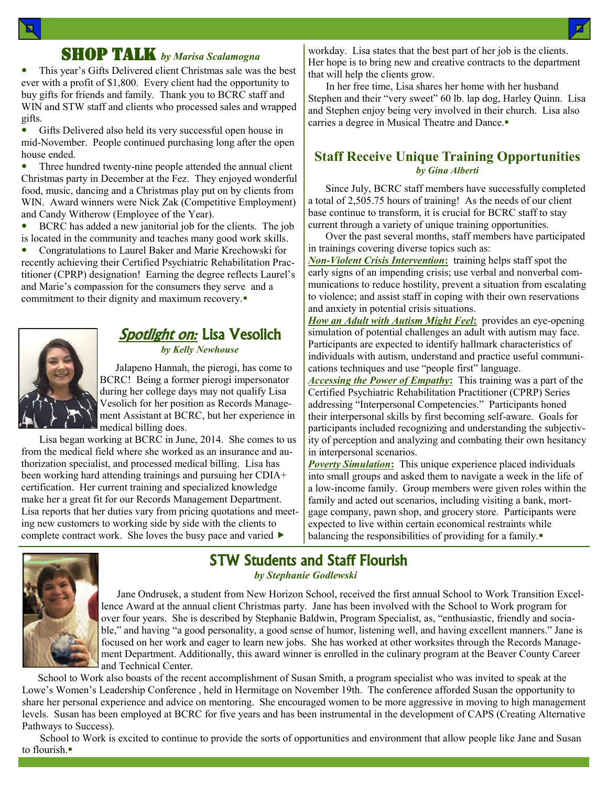#### SHOP TALK *by Marisa Scalamogna*

 This year's Gifts Delivered client Christmas sale was the best ever with a profit of \$1,800. Every client had the opportunity to buy gifts for friends and family. Thank you to BCRC staff and WIN and STW staff and clients who processed sales and wrapped gifts.

 Gifts Delivered also held its very successful open house in mid-November. People continued purchasing long after the open house ended.

• Three hundred twenty-nine people attended the annual client Christmas party in December at the Fez. They enjoyed wonderful food, music, dancing and a Christmas play put on by clients from WIN. Award winners were Nick Zak (Competitive Employment) and Candy Witherow (Employee of the Year).

 BCRC has added a new janitorial job for the clients. The job is located in the community and teaches many good work skills.

 Congratulations to Laurel Baker and Marie Krechowski for recently achieving their Certified Psychiatric Rehabilitation Practitioner (CPRP) designation! Earning the degree reflects Laurel's and Marie's compassion for the consumers they serve and a commitment to their dignity and maximum recovery.



## *Spotlight on:* Lisa Vesolich

*by Kelly Newhouse*

 Jalapeno Hannah, the pierogi, has come to BCRC! Being a former pierogi impersonator during her college days may not qualify Lisa Vesolich for her position as Records Management Assistant at BCRC, but her experience in medical billing does.

Lisa began working at BCRC in June, 2014. She comes to us from the medical field where she worked as an insurance and authorization specialist, and processed medical billing. Lisa has been working hard attending trainings and pursuing her CDIA+ certification. Her current training and specialized knowledge make her a great fit for our Records Management Department. Lisa reports that her duties vary from pricing quotations and meeting new customers to working side by side with the clients to complete contract work. She loves the busy pace and varied  $\blacktriangleright$ 

workday. Lisa states that the best part of her job is the clients. Her hope is to bring new and creative contracts to the department that will help the clients grow.

In her free time, Lisa shares her home with her husband Stephen and their "very sweet" 60 lb. lap dog, Harley Quinn. Lisa and Stephen enjoy being very involved in their church. Lisa also carries a degree in Musical Theatre and Dance.

#### **Staff Receive Unique Training Opportunities** *by Gina Alberti*

Since July, BCRC staff members have successfully completed a total of 2,505.75 hours of training! As the needs of our client base continue to transform, it is crucial for BCRC staff to stay current through a variety of unique training opportunities.

Over the past several months, staff members have participated in trainings covering diverse topics such as:

*Non-Violent Crisis Intervention***:** training helps staff spot the early signs of an impending crisis; use verbal and nonverbal communications to reduce hostility, prevent a situation from escalating to violence; and assist staff in coping with their own reservations and anxiety in potential crisis situations.

*How an Adult with Autism Might Feel***:** provides an eye-opening simulation of potential challenges an adult with autism may face. Participants are expected to identify hallmark characteristics of individuals with autism, understand and practice useful communications techniques and use "people first" language.

*Accessing the Power of Empathy***:** This training was a part of the Certified Psychiatric Rehabilitation Practitioner (CPRP) Series addressing "Interpersonal Competencies." Participants honed their interpersonal skills by first becoming self-aware. Goals for participants included recognizing and understanding the subjectivity of perception and analyzing and combating their own hesitancy in interpersonal scenarios.

**Poverty Simulation:** This unique experience placed individuals into small groups and asked them to navigate a week in the life of a low-income family. Group members were given roles within the family and acted out scenarios, including visiting a bank, mortgage company, pawn shop, and grocery store. Participants were expected to live within certain economical restraints while balancing the responsibilities of providing for a family.



#### STW Students and Staff Flourish *by Stephanie Godlewski*

 Jane Ondrusek, a student from New Horizon School, received the first annual School to Work Transition Excellence Award at the annual client Christmas party. Jane has been involved with the School to Work program for over four years. She is described by Stephanie Baldwin, Program Specialist, as, "enthusiastic, friendly and sociable," and having "a good personality, a good sense of humor, listening well, and having excellent manners." Jane is focused on her work and eager to learn new jobs. She has worked at other worksites through the Records Management Department. Additionally, this award winner is enrolled in the culinary program at the Beaver County Career and Technical Center.

 School to Work also boasts of the recent accomplishment of Susan Smith, a program specialist who was invited to speak at the Lowe's Women's Leadership Conference , held in Hermitage on November 19th. The conference afforded Susan the opportunity to share her personal experience and advice on mentoring. She encouraged women to be more aggressive in moving to high management levels. Susan has been employed at BCRC for five years and has been instrumental in the development of CAPS (Creating Alternative Pathways to Success).

School to Work is excited to continue to provide the sorts of opportunities and environment that allow people like Jane and Susan to flourish.